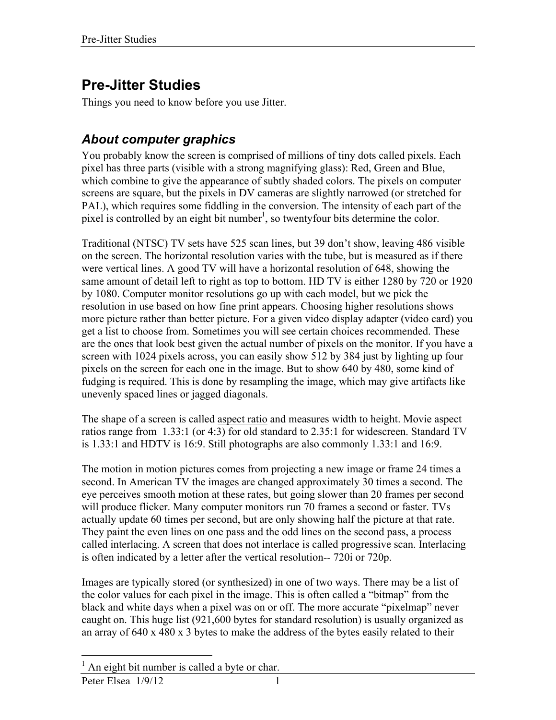# **Pre-Jitter Studies**

Things you need to know before you use Jitter.

### *About computer graphics*

You probably know the screen is comprised of millions of tiny dots called pixels. Each pixel has three parts (visible with a strong magnifying glass): Red, Green and Blue, which combine to give the appearance of subtly shaded colors. The pixels on computer screens are square, but the pixels in DV cameras are slightly narrowed (or stretched for PAL), which requires some fiddling in the conversion. The intensity of each part of the pixel is controlled by an eight bit number<sup>1</sup>, so twentyfour bits determine the color.

Traditional (NTSC) TV sets have 525 scan lines, but 39 don't show, leaving 486 visible on the screen. The horizontal resolution varies with the tube, but is measured as if there were vertical lines. A good TV will have a horizontal resolution of 648, showing the same amount of detail left to right as top to bottom. HD TV is either 1280 by 720 or 1920 by 1080. Computer monitor resolutions go up with each model, but we pick the resolution in use based on how fine print appears. Choosing higher resolutions shows more picture rather than better picture. For a given video display adapter (video card) you get a list to choose from. Sometimes you will see certain choices recommended. These are the ones that look best given the actual number of pixels on the monitor. If you have a screen with 1024 pixels across, you can easily show 512 by 384 just by lighting up four pixels on the screen for each one in the image. But to show 640 by 480, some kind of fudging is required. This is done by resampling the image, which may give artifacts like unevenly spaced lines or jagged diagonals.

The shape of a screen is called aspect ratio and measures width to height. Movie aspect ratios range from 1.33:1 (or 4:3) for old standard to 2.35:1 for widescreen. Standard TV is 1.33:1 and HDTV is 16:9. Still photographs are also commonly 1.33:1 and 16:9.

The motion in motion pictures comes from projecting a new image or frame 24 times a second. In American TV the images are changed approximately 30 times a second. The eye perceives smooth motion at these rates, but going slower than 20 frames per second will produce flicker. Many computer monitors run 70 frames a second or faster. TVs actually update 60 times per second, but are only showing half the picture at that rate. They paint the even lines on one pass and the odd lines on the second pass, a process called interlacing. A screen that does not interlace is called progressive scan. Interlacing is often indicated by a letter after the vertical resolution-- 720i or 720p.

Images are typically stored (or synthesized) in one of two ways. There may be a list of the color values for each pixel in the image. This is often called a "bitmap" from the black and white days when a pixel was on or off. The more accurate "pixelmap" never caught on. This huge list (921,600 bytes for standard resolution) is usually organized as an array of 640 x 480 x 3 bytes to make the address of the bytes easily related to their

Peter Elsea  $1/9/12$  1 <sup>1</sup> An eight bit number is called a byte or char.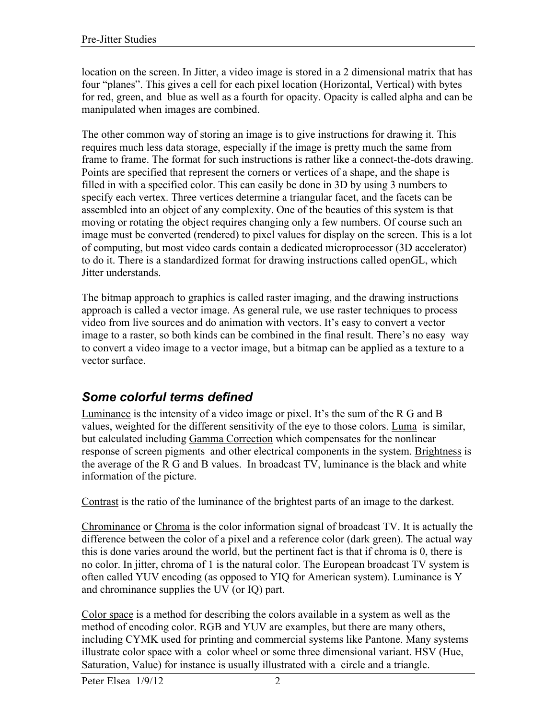location on the screen. In Jitter, a video image is stored in a 2 dimensional matrix that has four "planes". This gives a cell for each pixel location (Horizontal, Vertical) with bytes for red, green, and blue as well as a fourth for opacity. Opacity is called alpha and can be manipulated when images are combined.

The other common way of storing an image is to give instructions for drawing it. This requires much less data storage, especially if the image is pretty much the same from frame to frame. The format for such instructions is rather like a connect-the-dots drawing. Points are specified that represent the corners or vertices of a shape, and the shape is filled in with a specified color. This can easily be done in 3D by using 3 numbers to specify each vertex. Three vertices determine a triangular facet, and the facets can be assembled into an object of any complexity. One of the beauties of this system is that moving or rotating the object requires changing only a few numbers. Of course such an image must be converted (rendered) to pixel values for display on the screen. This is a lot of computing, but most video cards contain a dedicated microprocessor (3D accelerator) to do it. There is a standardized format for drawing instructions called openGL, which Jitter understands.

The bitmap approach to graphics is called raster imaging, and the drawing instructions approach is called a vector image. As general rule, we use raster techniques to process video from live sources and do animation with vectors. It's easy to convert a vector image to a raster, so both kinds can be combined in the final result. There's no easy way to convert a video image to a vector image, but a bitmap can be applied as a texture to a vector surface.

### *Some colorful terms defined*

Luminance is the intensity of a video image or pixel. It's the sum of the R G and B values, weighted for the different sensitivity of the eye to those colors. Luma is similar, but calculated including Gamma Correction which compensates for the nonlinear response of screen pigments and other electrical components in the system. Brightness is the average of the R G and B values. In broadcast TV, luminance is the black and white information of the picture.

Contrast is the ratio of the luminance of the brightest parts of an image to the darkest.

Chrominance or Chroma is the color information signal of broadcast TV. It is actually the difference between the color of a pixel and a reference color (dark green). The actual way this is done varies around the world, but the pertinent fact is that if chroma is 0, there is no color. In jitter, chroma of 1 is the natural color. The European broadcast TV system is often called YUV encoding (as opposed to YIQ for American system). Luminance is Y and chrominance supplies the UV (or IQ) part.

Color space is a method for describing the colors available in a system as well as the method of encoding color. RGB and YUV are examples, but there are many others, including CYMK used for printing and commercial systems like Pantone. Many systems illustrate color space with a color wheel or some three dimensional variant. HSV (Hue, Saturation, Value) for instance is usually illustrated with a circle and a triangle.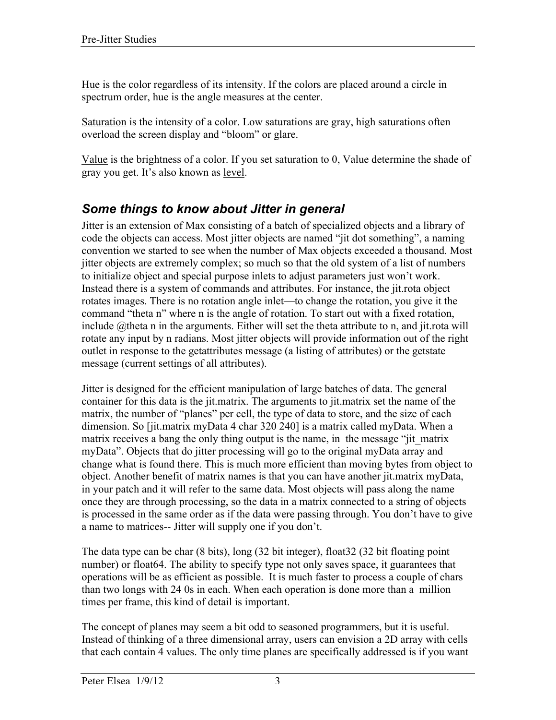Hue is the color regardless of its intensity. If the colors are placed around a circle in spectrum order, hue is the angle measures at the center.

Saturation is the intensity of a color. Low saturations are gray, high saturations often overload the screen display and "bloom" or glare.

Value is the brightness of a color. If you set saturation to 0, Value determine the shade of gray you get. It's also known as level.

## *Some things to know about Jitter in general*

Jitter is an extension of Max consisting of a batch of specialized objects and a library of code the objects can access. Most jitter objects are named "jit dot something", a naming convention we started to see when the number of Max objects exceeded a thousand. Most jitter objects are extremely complex; so much so that the old system of a list of numbers to initialize object and special purpose inlets to adjust parameters just won't work. Instead there is a system of commands and attributes. For instance, the jit.rota object rotates images. There is no rotation angle inlet—to change the rotation, you give it the command "theta n" where n is the angle of rotation. To start out with a fixed rotation, include @theta n in the arguments. Either will set the theta attribute to n, and jit.rota will rotate any input by n radians. Most jitter objects will provide information out of the right outlet in response to the getattributes message (a listing of attributes) or the getstate message (current settings of all attributes).

Jitter is designed for the efficient manipulation of large batches of data. The general container for this data is the jit.matrix. The arguments to jit.matrix set the name of the matrix, the number of "planes" per cell, the type of data to store, and the size of each dimension. So [jit.matrix myData 4 char 320 240] is a matrix called myData. When a matrix receives a bang the only thing output is the name, in the message "jit\_matrix myData". Objects that do jitter processing will go to the original myData array and change what is found there. This is much more efficient than moving bytes from object to object. Another benefit of matrix names is that you can have another jit.matrix myData, in your patch and it will refer to the same data. Most objects will pass along the name once they are through processing, so the data in a matrix connected to a string of objects is processed in the same order as if the data were passing through. You don't have to give a name to matrices-- Jitter will supply one if you don't.

The data type can be char (8 bits), long (32 bit integer), float32 (32 bit floating point number) or float64. The ability to specify type not only saves space, it guarantees that operations will be as efficient as possible. It is much faster to process a couple of chars than two longs with 24 0s in each. When each operation is done more than a million times per frame, this kind of detail is important.

The concept of planes may seem a bit odd to seasoned programmers, but it is useful. Instead of thinking of a three dimensional array, users can envision a 2D array with cells that each contain 4 values. The only time planes are specifically addressed is if you want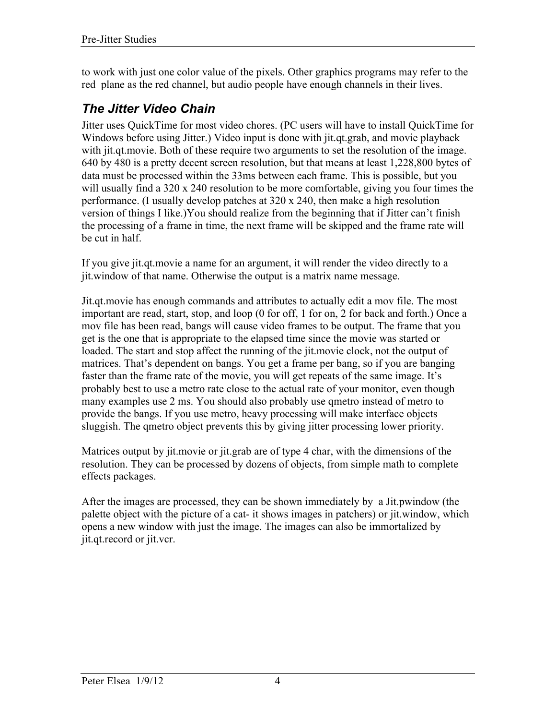to work with just one color value of the pixels. Other graphics programs may refer to the red plane as the red channel, but audio people have enough channels in their lives.

### *The Jitter Video Chain*

Jitter uses QuickTime for most video chores. (PC users will have to install QuickTime for Windows before using Jitter.) Video input is done with jit.qt.grab, and movie playback with jit.qt.movie. Both of these require two arguments to set the resolution of the image. 640 by 480 is a pretty decent screen resolution, but that means at least 1,228,800 bytes of data must be processed within the 33ms between each frame. This is possible, but you will usually find a 320 x 240 resolution to be more comfortable, giving you four times the performance. (I usually develop patches at 320 x 240, then make a high resolution version of things I like.)You should realize from the beginning that if Jitter can't finish the processing of a frame in time, the next frame will be skipped and the frame rate will be cut in half.

If you give jit.qt.movie a name for an argument, it will render the video directly to a jit.window of that name. Otherwise the output is a matrix name message.

Jit.qt.movie has enough commands and attributes to actually edit a mov file. The most important are read, start, stop, and loop (0 for off, 1 for on, 2 for back and forth.) Once a mov file has been read, bangs will cause video frames to be output. The frame that you get is the one that is appropriate to the elapsed time since the movie was started or loaded. The start and stop affect the running of the jit.movie clock, not the output of matrices. That's dependent on bangs. You get a frame per bang, so if you are banging faster than the frame rate of the movie, you will get repeats of the same image. It's probably best to use a metro rate close to the actual rate of your monitor, even though many examples use 2 ms. You should also probably use qmetro instead of metro to provide the bangs. If you use metro, heavy processing will make interface objects sluggish. The qmetro object prevents this by giving jitter processing lower priority.

Matrices output by jit.movie or jit.grab are of type 4 char, with the dimensions of the resolution. They can be processed by dozens of objects, from simple math to complete effects packages.

After the images are processed, they can be shown immediately by a Jit.pwindow (the palette object with the picture of a cat- it shows images in patchers) or jit.window, which opens a new window with just the image. The images can also be immortalized by jit.qt.record or jit.vcr.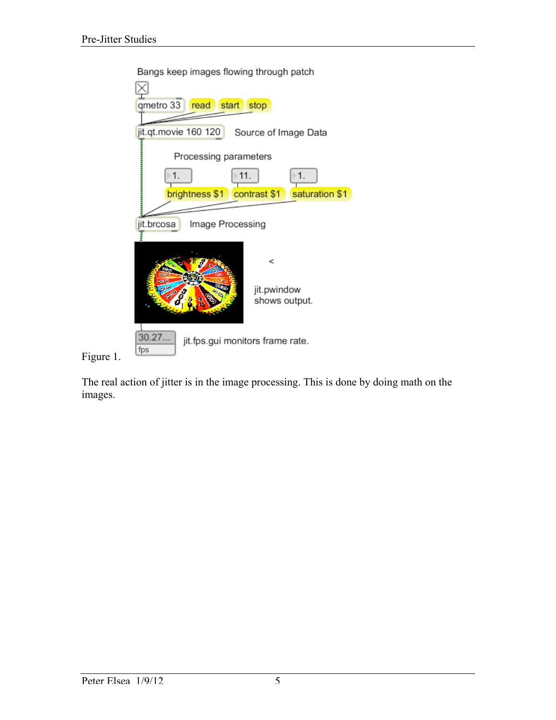

Bangs keep images flowing through patch

Figure 1.

The real action of jitter is in the image processing. This is done by doing math on the images.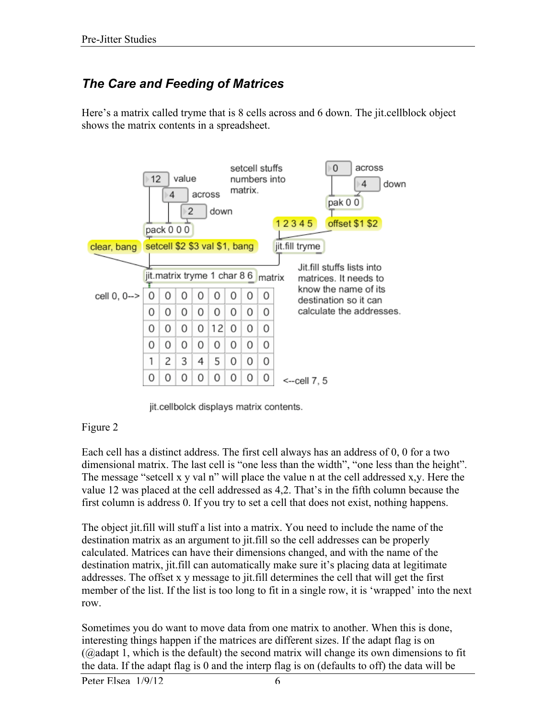## *The Care and Feeding of Matrices*

Here's a matrix called tryme that is 8 cells across and 6 down. The jit.cellblock object shows the matrix contents in a spreadsheet.



jit.cellbolck displays matrix contents.

#### Figure 2

Each cell has a distinct address. The first cell always has an address of 0, 0 for a two dimensional matrix. The last cell is "one less than the width", "one less than the height". The message "setcell x y val n" will place the value n at the cell addressed x,y. Here the value 12 was placed at the cell addressed as 4,2. That's in the fifth column because the first column is address 0. If you try to set a cell that does not exist, nothing happens.

The object jit.fill will stuff a list into a matrix. You need to include the name of the destination matrix as an argument to jit.fill so the cell addresses can be properly calculated. Matrices can have their dimensions changed, and with the name of the destination matrix, jit.fill can automatically make sure it's placing data at legitimate addresses. The offset x y message to jit.fill determines the cell that will get the first member of the list. If the list is too long to fit in a single row, it is 'wrapped' into the next row.

Sometimes you do want to move data from one matrix to another. When this is done, interesting things happen if the matrices are different sizes. If the adapt flag is on (@adapt 1, which is the default) the second matrix will change its own dimensions to fit the data. If the adapt flag is 0 and the interp flag is on (defaults to off) the data will be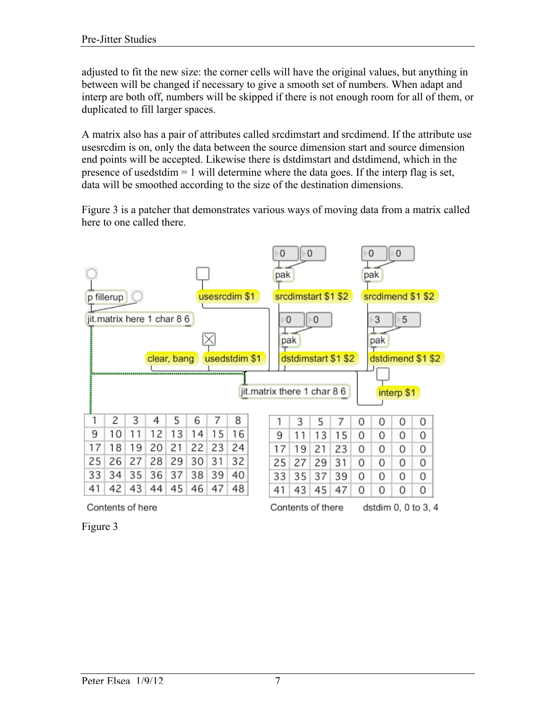adjusted to fit the new size: the corner cells will have the original values, but anything in between will be changed if necessary to give a smooth set of numbers. When adapt and interp are both off, numbers will be skipped if there is not enough room for all of them, or duplicated to fill larger spaces.

A matrix also has a pair of attributes called srcdimstart and srcdimend. If the attribute use usesrcdim is on, only the data between the source dimension start and source dimension end points will be accepted. Likewise there is dstdimstart and dstdimend, which in the presence of usedstdim = 1 will determine where the data goes. If the interp flag is set, data will be smoothed according to the size of the destination dimensions.

Figure 3 is a patcher that demonstrates various ways of moving data from a matrix called here to one called there.



Figure 3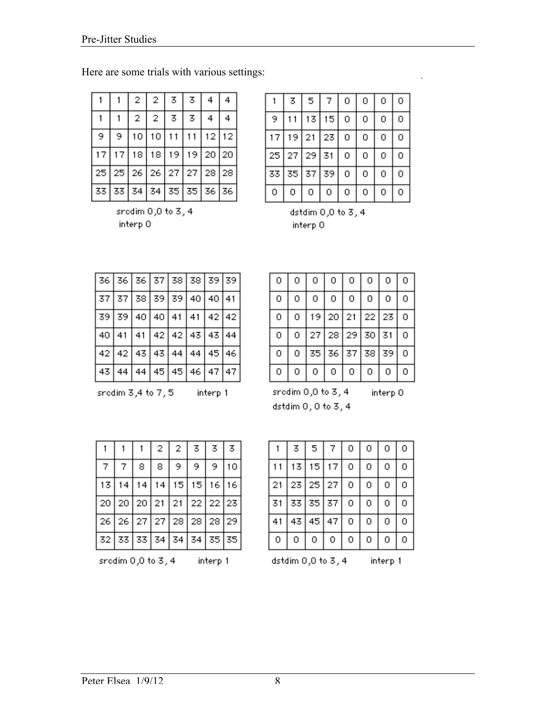Here are some trials with various settings:

|                                       |   | 2 | 2.    | 3                                     | 3. | 4 | 4     |
|---------------------------------------|---|---|-------|---------------------------------------|----|---|-------|
|                                       |   | 2 | 2     | 3                                     | 3  | 4 |       |
| 9.                                    | 9 |   | 10 10 | 11 I                                  |    |   | 12 12 |
|                                       |   |   |       | 17   17   18   18   19   19   20   20 |    |   |       |
| 25   25   26   26   27   27   28   28 |   |   |       |                                       |    |   |       |
| 33   33   34   34   35   35   36   36 |   |   |       |                                       |    |   |       |

sredim  $0,0$  to  $3, 4$ interp 0

|    | 3  | 5  | 7  | ο | 0 | ο | ο |
|----|----|----|----|---|---|---|---|
| 9  |    | 13 | 15 | 0 | ο | 0 | 0 |
| 17 | 19 | 21 | 23 | o | ο | ο | 0 |
| 25 | 27 | 29 | 31 | ο | ο | о | 0 |
| 33 | 35 | 37 | 39 | 0 | 0 | ο | 0 |
| 0  | ο  | о  | о  | ο | 0 | ο | 0 |

dstdim 0,0 to 3, 4 interp 0

|  |  | 36   36   36   37   38   39   39   39 |  |
|--|--|---------------------------------------|--|
|  |  | 37   37   38   39   39   40   40   41 |  |
|  |  | 39   39   40   40   41   41   42   42 |  |
|  |  | 40   41   41   42   42   43   43   44 |  |
|  |  | 42   42   43   43   44   44   45   46 |  |
|  |  | 43   44   44   45   45   46   47   47 |  |

| о | 0 | 0               | 0  | 0  | о     | 0  | 0 |
|---|---|-----------------|----|----|-------|----|---|
| 0 | 0 | ο               | 0  | 0  | о     | 0  | 0 |
| 0 | 0 | 19 <sup>°</sup> | 20 | 21 | 22    | 23 | 0 |
| о | 0 | 27              | 28 | 29 | 30    | 31 | о |
| 0 | о | 35              | 36 |    | 37 38 | 39 | 0 |
| о | 0 | о               | о  | ο  | ο     | о  | ο |

interp 0

sredim  $3,4$  to  $7,5$ interp 1

sredim  $0,0$  to  $3, 4$ 

dstdim 0, 0 to 3, 4

|    |                                       |    | $\mathbf{2}$ | $\sim$ 2 | 3     | $\overline{3}$ | 3.    |
|----|---------------------------------------|----|--------------|----------|-------|----------------|-------|
|    |                                       | 8. | 8            | 9.       | 9.    | 9.             | 10    |
| 13 | 14                                    | 14 | 14           |          | 15 15 |                | 16 16 |
|    | 20   20   20   21   21   22   22   23 |    |              |          |       |                |       |
|    | 26 26 27 27 28 28 28 29               |    |              |          |       |                |       |
|    | 32   33   33   34   34   34   35   35 |    |              |          |       |                |       |

sredim  $0,0$  to  $3, 4$ interp 1

|                              | 3  | 5  |    | ο | o | ο | ο |
|------------------------------|----|----|----|---|---|---|---|
|                              | 13 | 15 | 7  | о | ο | о | ο |
| 21                           | 23 | 25 | 27 | ο | ο | 0 | ο |
| 31                           | 33 | 35 | 37 | о | Ō | 0 | ο |
| 41                           | 43 | 45 | 47 | 0 | o | ο | o |
| ο                            | o  | 0  | ο  | о | o | о | ο |
| dstdim 0,0 to 3, 4<br>interp |    |    |    |   |   |   |   |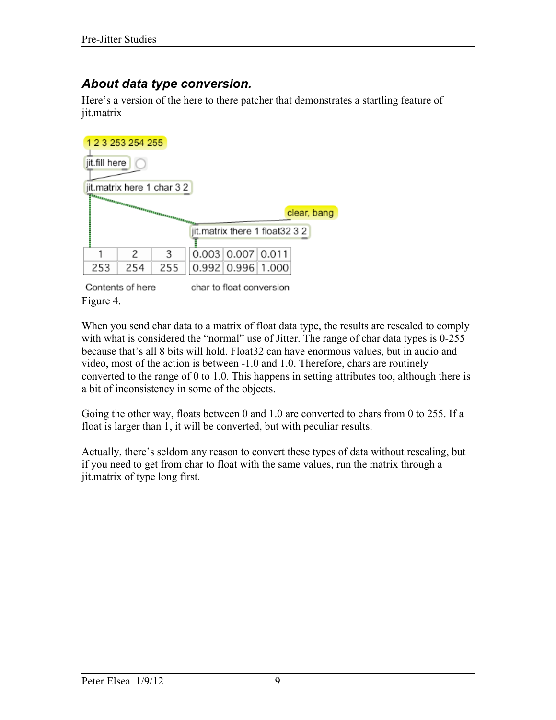#### *About data type conversion.*

Here's a version of the here to there patcher that demonstrates a startling feature of jit.matrix

Contents of here char to float conversion Figure 4.

When you send char data to a matrix of float data type, the results are rescaled to comply with what is considered the "normal" use of Jitter. The range of char data types is 0-255 because that's all 8 bits will hold. Float32 can have enormous values, but in audio and video, most of the action is between -1.0 and 1.0. Therefore, chars are routinely converted to the range of 0 to 1.0. This happens in setting attributes too, although there is a bit of inconsistency in some of the objects.

Going the other way, floats between 0 and 1.0 are converted to chars from 0 to 255. If a float is larger than 1, it will be converted, but with peculiar results.

Actually, there's seldom any reason to convert these types of data without rescaling, but if you need to get from char to float with the same values, run the matrix through a jit.matrix of type long first.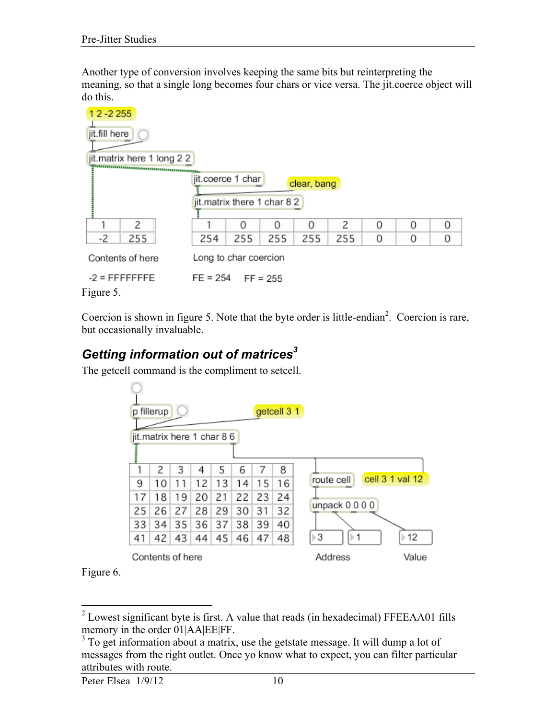Another type of conversion involves keeping the same bits but reinterpreting the meaning, so that a single long becomes four chars or vice versa. The jit.coerce object will do this.



Coercion is shown in figure 5. Note that the byte order is little-endian<sup>2</sup>. Coercion is rare, but occasionally invaluable.

## *Getting information out of matrices<sup>3</sup>*

The getcell command is the compliment to setcell.

|    | p fillerup                 |    |    |    |    |    | getcell 3 1 |                                   |
|----|----------------------------|----|----|----|----|----|-------------|-----------------------------------|
|    | jit.matrix here 1 char 8 6 |    |    |    |    |    |             |                                   |
|    | 2                          | 3  | 4  | 5  | 6  | 7  | 8           |                                   |
| 9  | 10                         | 11 | 12 | 13 | 14 | 15 | 16          | cell 3 1 val 12<br>route cell     |
| 17 | 18                         | 19 | 20 | 21 | 22 | 23 | 24          |                                   |
| 25 | 26                         | 27 | 28 | 29 | 30 | 31 | 32          | unpack 0 0 0 0                    |
| 33 | 34                         | 35 | 36 | 37 | 38 | 39 | 40          |                                   |
| 41 | 42                         | 43 | 44 | 45 | 46 | 47 | 48          | $\triangleright$ 3<br>>12<br>lb 1 |
|    | Contents of here           |    |    |    |    |    |             | Address<br>Value                  |

Figure 6.

<sup>&</sup>lt;sup>2</sup> Lowest significant byte is first. A value that reads (in hexadecimal) FFEEAA01 fills memory in the order 01|AA|EE|FF.

<sup>&</sup>lt;sup>3</sup> To get information about a matrix, use the getstate message. It will dump a lot of messages from the right outlet. Once yo know what to expect, you can filter particular attributes with route.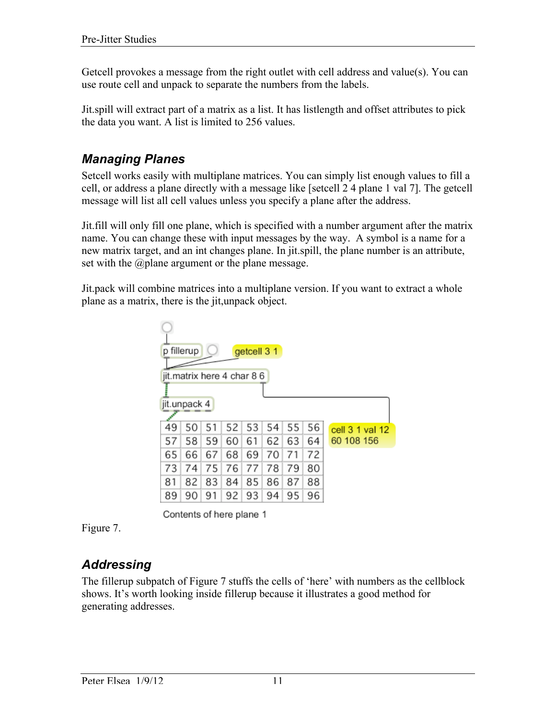Getcell provokes a message from the right outlet with cell address and value(s). You can use route cell and unpack to separate the numbers from the labels.

Jit.spill will extract part of a matrix as a list. It has listlength and offset attributes to pick the data you want. A list is limited to 256 values.

#### *Managing Planes*

Setcell works easily with multiplane matrices. You can simply list enough values to fill a cell, or address a plane directly with a message like [setcell 2 4 plane 1 val 7]. The getcell message will list all cell values unless you specify a plane after the address.

Jit.fill will only fill one plane, which is specified with a number argument after the matrix name. You can change these with input messages by the way. A symbol is a name for a new matrix target, and an int changes plane. In jit.spill, the plane number is an attribute, set with the @plane argument or the plane message.

Jit.pack will combine matrices into a multiplane version. If you want to extract a whole plane as a matrix, there is the jit,unpack object.

| fillerup<br>getcell 3 1<br>D |                            |    |    |    |    |    |    |                 |  |  |  |
|------------------------------|----------------------------|----|----|----|----|----|----|-----------------|--|--|--|
|                              | jit.matrix here 4 char 8 6 |    |    |    |    |    |    |                 |  |  |  |
|                              |                            |    |    |    |    |    |    |                 |  |  |  |
|                              | jit.unpack 4               |    |    |    |    |    |    |                 |  |  |  |
|                              |                            |    |    |    |    |    |    |                 |  |  |  |
| 49                           | 50                         | 51 | 52 | 53 | 54 | 55 | 56 | cell 3 1 val 12 |  |  |  |
| 57                           | 58                         | 59 | 60 | 61 | 62 | 63 | 64 | 60 108 156      |  |  |  |
| 65                           | 66                         | 67 | 68 | 69 | 70 | 71 | 72 |                 |  |  |  |
| 73                           | 74                         | 75 | 76 | 77 | 78 | 79 | 80 |                 |  |  |  |
| 81                           | 82                         | 83 | 84 | 85 | 86 | 87 | 88 |                 |  |  |  |
| 89                           | 90                         | 91 | 92 | 93 | 94 | 95 | 96 |                 |  |  |  |



Figure 7.

### *Addressing*

The fillerup subpatch of Figure 7 stuffs the cells of 'here' with numbers as the cellblock shows. It's worth looking inside fillerup because it illustrates a good method for generating addresses.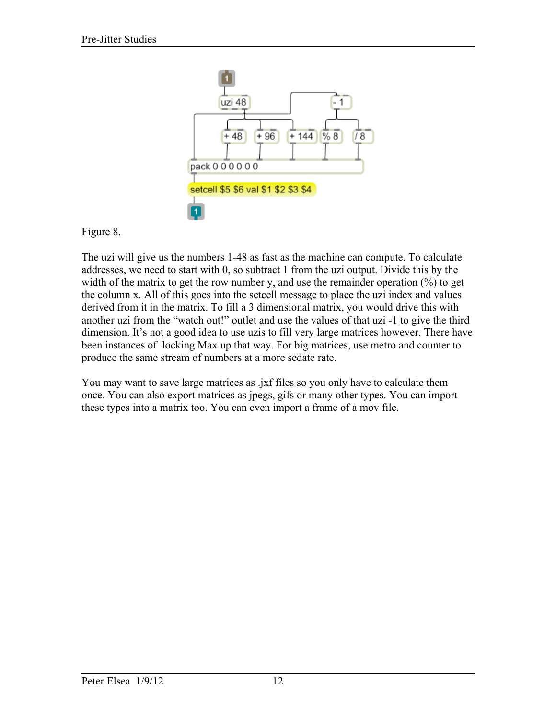

Figure 8.

The uzi will give us the numbers 1-48 as fast as the machine can compute. To calculate addresses, we need to start with 0, so subtract 1 from the uzi output. Divide this by the width of the matrix to get the row number y, and use the remainder operation  $(\%)$  to get the column x. All of this goes into the setcell message to place the uzi index and values derived from it in the matrix. To fill a 3 dimensional matrix, you would drive this with another uzi from the "watch out!" outlet and use the values of that uzi -1 to give the third dimension. It's not a good idea to use uzis to fill very large matrices however. There have been instances of locking Max up that way. For big matrices, use metro and counter to produce the same stream of numbers at a more sedate rate.

You may want to save large matrices as .jxf files so you only have to calculate them once. You can also export matrices as jpegs, gifs or many other types. You can import these types into a matrix too. You can even import a frame of a mov file.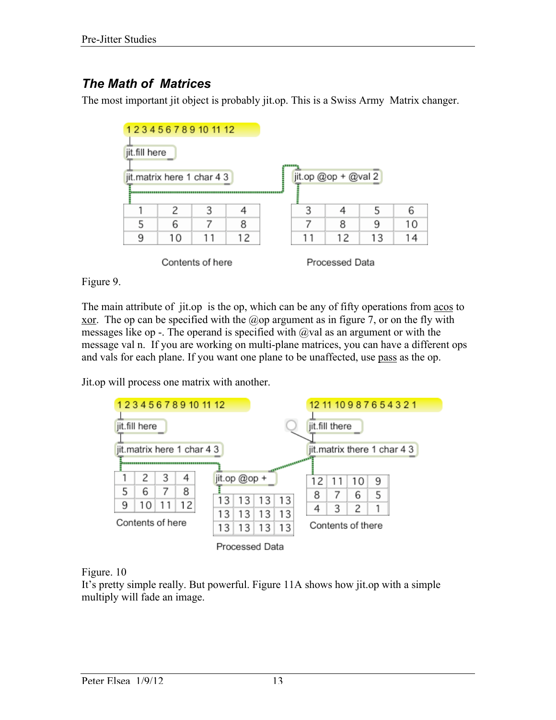### *The Math of Matrices*

The most important jit object is probably jit.op. This is a Swiss Army Matrix changer.



Figure 9.

The main attribute of jit.op is the op, which can be any of fifty operations from acos to <u>xor</u>. The op can be specified with the  $\omega$  op argument as in figure 7, or on the fly with messages like op -. The operand is specified with  $\omega$  val as an argument or with the message val n. If you are working on multi-plane matrices, you can have a different ops and vals for each plane. If you want one plane to be unaffected, use pass as the op.

Jit.op will process one matrix with another.



Figure. 10

It's pretty simple really. But powerful. Figure 11A shows how jit.op with a simple multiply will fade an image.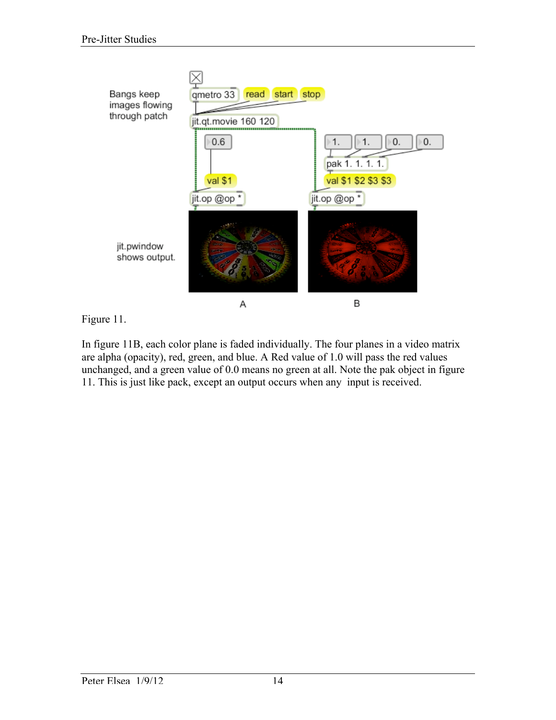

Figure 11.

In figure 11B, each color plane is faded individually. The four planes in a video matrix are alpha (opacity), red, green, and blue. A Red value of 1.0 will pass the red values unchanged, and a green value of 0.0 means no green at all. Note the pak object in figure 11. This is just like pack, except an output occurs when any input is received.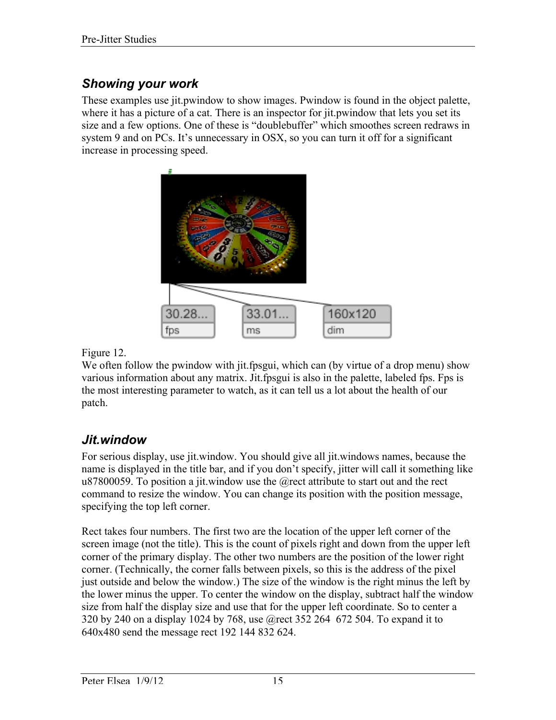### *Showing your work*

These examples use jit.pwindow to show images. Pwindow is found in the object palette, where it has a picture of a cat. There is an inspector for jit.pwindow that lets you set its size and a few options. One of these is "doublebuffer" which smoothes screen redraws in system 9 and on PCs. It's unnecessary in OSX, so you can turn it off for a significant increase in processing speed.



Figure 12.

We often follow the pwindow with jit.fpsgui, which can (by virtue of a drop menu) show various information about any matrix. Jit.fpsgui is also in the palette, labeled fps. Fps is the most interesting parameter to watch, as it can tell us a lot about the health of our patch.

#### *Jit.window*

For serious display, use jit.window. You should give all jit.windows names, because the name is displayed in the title bar, and if you don't specify, jitter will call it something like u87800059. To position a jit. window use the  $@$  rect attribute to start out and the rect command to resize the window. You can change its position with the position message, specifying the top left corner.

Rect takes four numbers. The first two are the location of the upper left corner of the screen image (not the title). This is the count of pixels right and down from the upper left corner of the primary display. The other two numbers are the position of the lower right corner. (Technically, the corner falls between pixels, so this is the address of the pixel just outside and below the window.) The size of the window is the right minus the left by the lower minus the upper. To center the window on the display, subtract half the window size from half the display size and use that for the upper left coordinate. So to center a 320 by 240 on a display 1024 by 768, use @rect 352 264 672 504. To expand it to 640x480 send the message rect 192 144 832 624.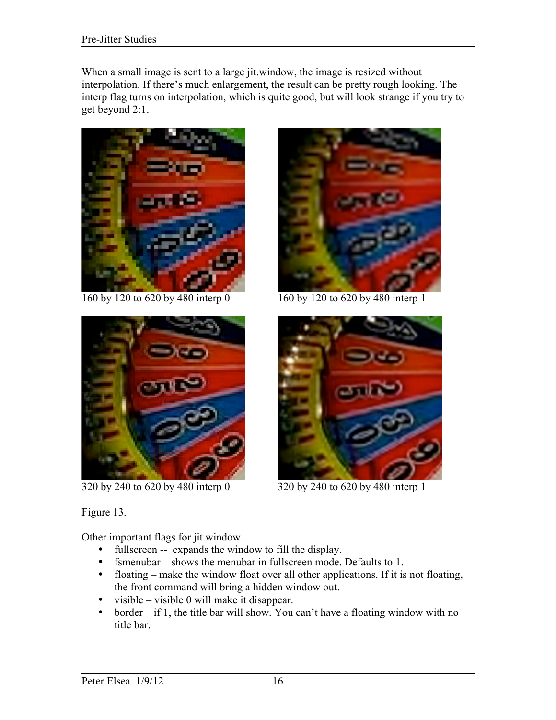When a small image is sent to a large jit.window, the image is resized without interpolation. If there's much enlargement, the result can be pretty rough looking. The interp flag turns on interpolation, which is quite good, but will look strange if you try to get beyond 2:1.





160 by 120 to 620 by 480 interp 0 160 by 120 to 620 by 480 interp 1



320 by 240 to 620 by 480 interp 0 320 by 240 to 620 by 480 interp 1

Figure 13.

Other important flags for jit.window.

- fullscreen -- expands the window to fill the display.
- fsmenubar shows the menubar in fullscreen mode. Defaults to 1.
- floating make the window float over all other applications. If it is not floating, the front command will bring a hidden window out.
- visible visible 0 will make it disappear.
- border if 1, the title bar will show. You can't have a floating window with no title bar.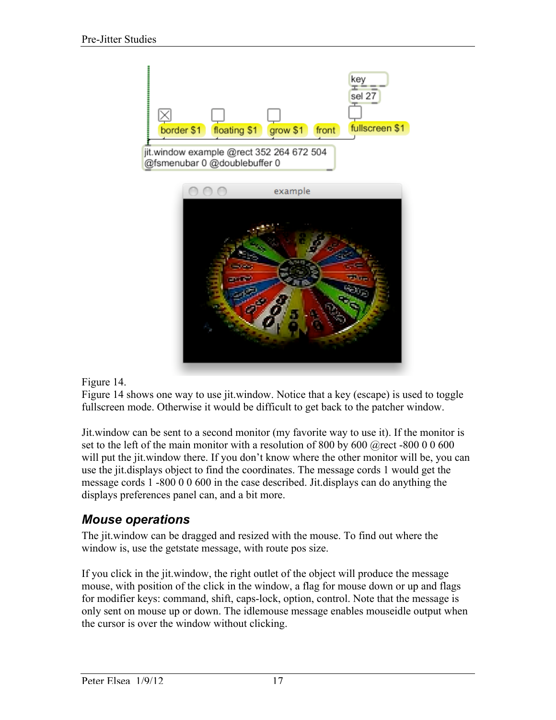

#### Figure 14.

Figure 14 shows one way to use jit.window. Notice that a key (escape) is used to toggle fullscreen mode. Otherwise it would be difficult to get back to the patcher window.

Jit.window can be sent to a second monitor (my favorite way to use it). If the monitor is set to the left of the main monitor with a resolution of 800 by 600 @rect -800 0 0 600 will put the jit.window there. If you don't know where the other monitor will be, you can use the jit.displays object to find the coordinates. The message cords 1 would get the message cords 1 -800 0 0 600 in the case described. Jit.displays can do anything the displays preferences panel can, and a bit more.

#### *Mouse operations*

The jit.window can be dragged and resized with the mouse. To find out where the window is, use the getstate message, with route pos size.

If you click in the jit.window, the right outlet of the object will produce the message mouse, with position of the click in the window, a flag for mouse down or up and flags for modifier keys: command, shift, caps-lock, option, control. Note that the message is only sent on mouse up or down. The idlemouse message enables mouseidle output when the cursor is over the window without clicking.